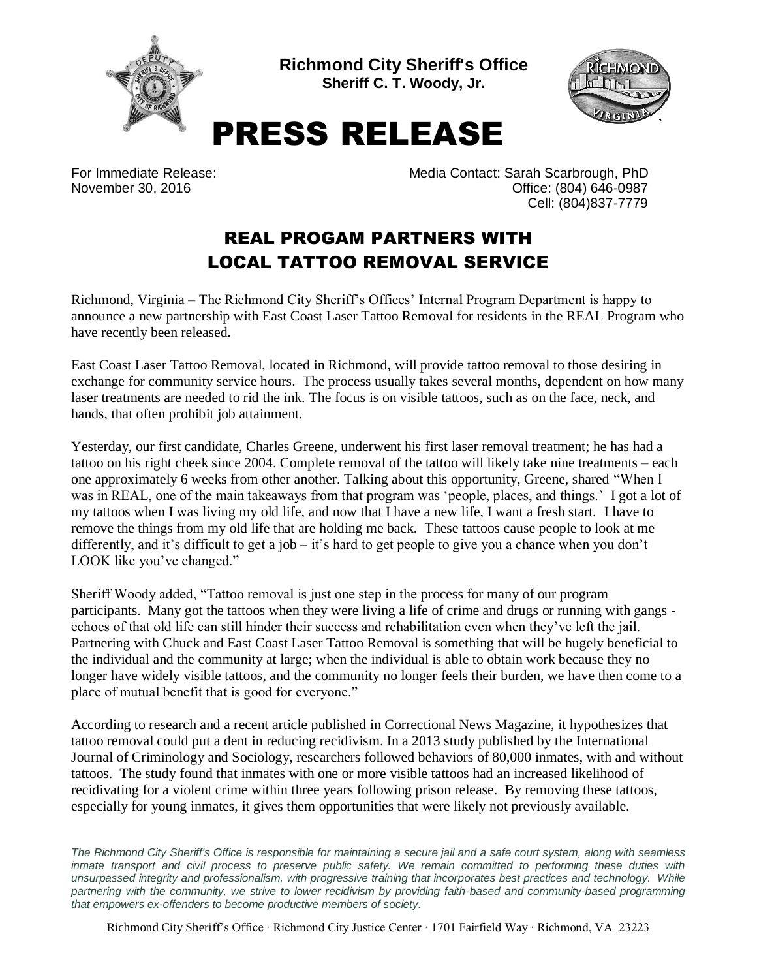

**Richmond City Sheriff's Office Sheriff C. T. Woody, Jr.**



## PRESS RELEASE

For Immediate Release: Media Contact: Sarah Scarbrough, PhD November 30, 2016 **November 30, 2016 Office: (804) 646-0987** Cell: (804)837-7779

## REAL PROGAM PARTNERS WITH LOCAL TATTOO REMOVAL SERVICE

Richmond, Virginia – The Richmond City Sheriff's Offices' Internal Program Department is happy to announce a new partnership with East Coast Laser Tattoo Removal for residents in the REAL Program who have recently been released.

East Coast Laser Tattoo Removal, located in Richmond, will provide tattoo removal to those desiring in exchange for community service hours. The process usually takes several months, dependent on how many laser treatments are needed to rid the ink. The focus is on visible tattoos, such as on the face, neck, and hands, that often prohibit job attainment.

Yesterday, our first candidate, Charles Greene, underwent his first laser removal treatment; he has had a tattoo on his right cheek since 2004. Complete removal of the tattoo will likely take nine treatments – each one approximately 6 weeks from other another. Talking about this opportunity, Greene, shared "When I was in REAL, one of the main takeaways from that program was 'people, places, and things.' I got a lot of my tattoos when I was living my old life, and now that I have a new life, I want a fresh start. I have to remove the things from my old life that are holding me back. These tattoos cause people to look at me differently, and it's difficult to get a job – it's hard to get people to give you a chance when you don't LOOK like you've changed."

Sheriff Woody added, "Tattoo removal is just one step in the process for many of our program participants. Many got the tattoos when they were living a life of crime and drugs or running with gangs echoes of that old life can still hinder their success and rehabilitation even when they've left the jail. Partnering with Chuck and East Coast Laser Tattoo Removal is something that will be hugely beneficial to the individual and the community at large; when the individual is able to obtain work because they no longer have widely visible tattoos, and the community no longer feels their burden, we have then come to a place of mutual benefit that is good for everyone."

According to research and a recent article published in Correctional News Magazine, it hypothesizes that tattoo removal could put a dent in reducing recidivism. In a 2013 study published by the International Journal of Criminology and Sociology, researchers followed behaviors of 80,000 inmates, with and without tattoos. The study found that inmates with one or more visible tattoos had an increased likelihood of recidivating for a violent crime within three years following prison release. By removing these tattoos, especially for young inmates, it gives them opportunities that were likely not previously available.

*The Richmond City Sheriff's Office is responsible for maintaining a secure jail and a safe court system, along with seamless*  inmate transport and civil process to preserve public safety. We remain committed to performing these duties with *unsurpassed integrity and professionalism, with progressive training that incorporates best practices and technology. While partnering with the community, we strive to lower recidivism by providing faith-based and community-based programming that empowers ex-offenders to become productive members of society.*